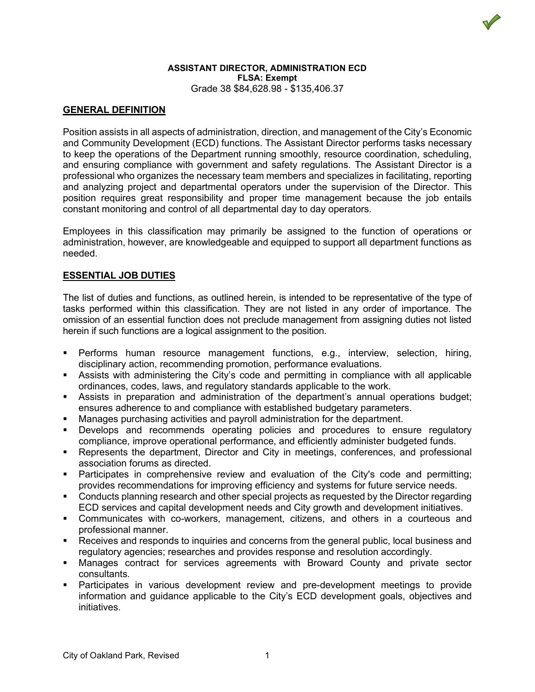

#### **ASSISTANT DIRECTOR, ADMINISTRATION ECD FLSA: Exempt** Grade 38 \$84,628.98 - \$135,406.37

## **GENERAL DEFINITION**

Position assists in all aspects of administration, direction, and management of the City's Economic and Community Development (ECD) functions. The Assistant Director performs tasks necessary to keep the operations of the Department running smoothly, resource coordination, scheduling, and ensuring compliance with government and safety regulations. The Assistant Director is a professional who organizes the necessary team members and specializes in facilitating, reporting and analyzing project and departmental operators under the supervision of the Director. This position requires great responsibility and proper time management because the job entails constant monitoring and control of all departmental day to day operators.

Employees in this classification may primarily be assigned to the function of operations or administration, however, are knowledgeable and equipped to support all department functions as needed.

# **ESSENTIAL JOB DUTIES**

The list of duties and functions, as outlined herein, is intended to be representative of the type of tasks performed within this classification. They are not listed in any order of importance. The omission of an essential function does not preclude management from assigning duties not listed herein if such functions are a logical assignment to the position.

- Performs human resource management functions, e.g., interview, selection, hiring, disciplinary action, recommending promotion, performance evaluations.
- Assists with administering the City's code and permitting in compliance with all applicable ordinances, codes, laws, and regulatory standards applicable to the work.
- Assists in preparation and administration of the department's annual operations budget; ensures adherence to and compliance with established budgetary parameters.
- Manages purchasing activities and payroll administration for the department.
- Develops and recommends operating policies and procedures to ensure regulatory compliance, improve operational performance, and efficiently administer budgeted funds.
- Represents the department, Director and City in meetings, conferences, and professional association forums as directed.
- Participates in comprehensive review and evaluation of the City's code and permitting; provides recommendations for improving efficiency and systems for future service needs.
- Conducts planning research and other special projects as requested by the Director regarding ECD services and capital development needs and City growth and development initiatives.
- Communicates with co-workers, management, citizens, and others in a courteous and professional manner.
- Receives and responds to inquiries and concerns from the general public, local business and regulatory agencies; researches and provides response and resolution accordingly.
- Manages contract for services agreements with Broward County and private sector consultants.
- Participates in various development review and pre-development meetings to provide information and guidance applicable to the City's ECD development goals, objectives and initiatives.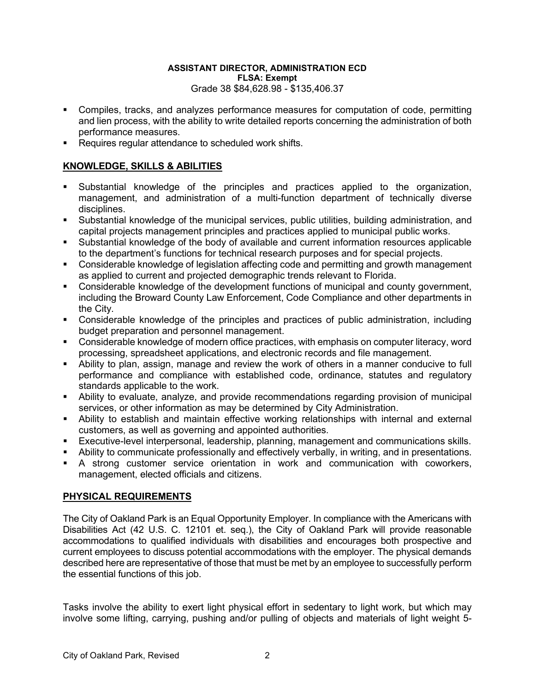### **ASSISTANT DIRECTOR, ADMINISTRATION ECD FLSA: Exempt** Grade 38 \$84,628.98 - \$135,406.37

- Compiles, tracks, and analyzes performance measures for computation of code, permitting and lien process, with the ability to write detailed reports concerning the administration of both performance measures.
- Requires regular attendance to scheduled work shifts.

# **KNOWLEDGE, SKILLS & ABILITIES**

- Substantial knowledge of the principles and practices applied to the organization, management, and administration of a multi-function department of technically diverse disciplines.
- Substantial knowledge of the municipal services, public utilities, building administration, and capital projects management principles and practices applied to municipal public works.
- Substantial knowledge of the body of available and current information resources applicable to the department's functions for technical research purposes and for special projects.
- Considerable knowledge of legislation affecting code and permitting and growth management as applied to current and projected demographic trends relevant to Florida.
- Considerable knowledge of the development functions of municipal and county government, including the Broward County Law Enforcement, Code Compliance and other departments in the City.
- Considerable knowledge of the principles and practices of public administration, including budget preparation and personnel management.
- Considerable knowledge of modern office practices, with emphasis on computer literacy, word processing, spreadsheet applications, and electronic records and file management.
- Ability to plan, assign, manage and review the work of others in a manner conducive to full performance and compliance with established code, ordinance, statutes and regulatory standards applicable to the work.
- Ability to evaluate, analyze, and provide recommendations regarding provision of municipal services, or other information as may be determined by City Administration.
- Ability to establish and maintain effective working relationships with internal and external customers, as well as governing and appointed authorities.
- Executive-level interpersonal, leadership, planning, management and communications skills.
- Ability to communicate professionally and effectively verbally, in writing, and in presentations.
- A strong customer service orientation in work and communication with coworkers, management, elected officials and citizens.

### **PHYSICAL REQUIREMENTS**

The City of Oakland Park is an Equal Opportunity Employer. In compliance with the Americans with Disabilities Act (42 U.S. C. 12101 et. seq.), the City of Oakland Park will provide reasonable accommodations to qualified individuals with disabilities and encourages both prospective and current employees to discuss potential accommodations with the employer. The physical demands described here are representative of those that must be met by an employee to successfully perform the essential functions of this job.

Tasks involve the ability to exert light physical effort in sedentary to light work, but which may involve some lifting, carrying, pushing and/or pulling of objects and materials of light weight 5-